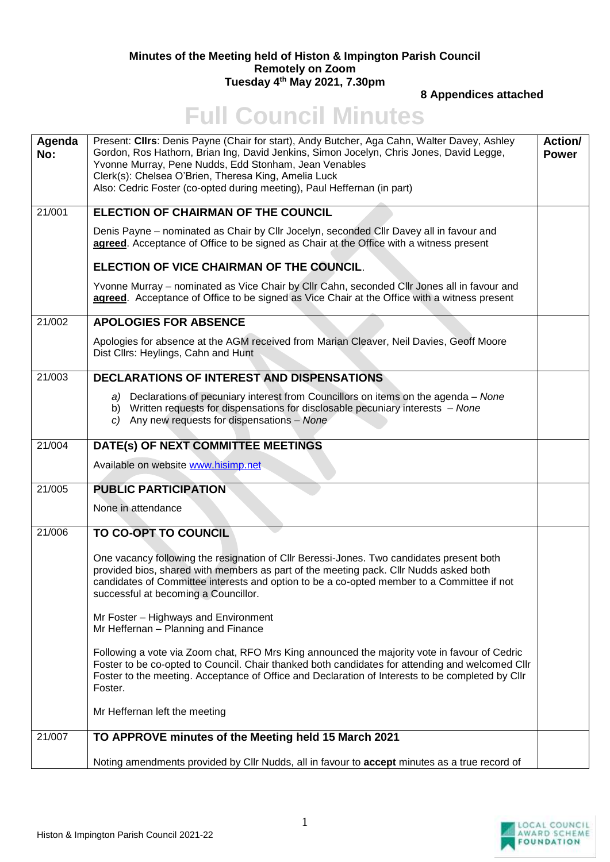## **Minutes of the Meeting held of Histon & Impington Parish Council Remotely on Zoom Tuesday 4th May 2021, 7.30pm**

**8 Appendices attached** 

## **Full Council Minutes**

| Agenda<br>No: | Present: Cllrs: Denis Payne (Chair for start), Andy Butcher, Aga Cahn, Walter Davey, Ashley<br>Gordon, Ros Hathorn, Brian Ing, David Jenkins, Simon Jocelyn, Chris Jones, David Legge,<br>Yvonne Murray, Pene Nudds, Edd Stonham, Jean Venables<br>Clerk(s): Chelsea O'Brien, Theresa King, Amelia Luck<br>Also: Cedric Foster (co-opted during meeting), Paul Heffernan (in part) | Action/<br><b>Power</b> |
|---------------|------------------------------------------------------------------------------------------------------------------------------------------------------------------------------------------------------------------------------------------------------------------------------------------------------------------------------------------------------------------------------------|-------------------------|
| 21/001        | <b>ELECTION OF CHAIRMAN OF THE COUNCIL</b>                                                                                                                                                                                                                                                                                                                                         |                         |
|               | Denis Payne - nominated as Chair by Cllr Jocelyn, seconded Cllr Davey all in favour and<br>agreed. Acceptance of Office to be signed as Chair at the Office with a witness present                                                                                                                                                                                                 |                         |
|               | ELECTION OF VICE CHAIRMAN OF THE COUNCIL.                                                                                                                                                                                                                                                                                                                                          |                         |
|               | Yvonne Murray - nominated as Vice Chair by Cllr Cahn, seconded Cllr Jones all in favour and<br>agreed. Acceptance of Office to be signed as Vice Chair at the Office with a witness present                                                                                                                                                                                        |                         |
| 21/002        | <b>APOLOGIES FOR ABSENCE</b>                                                                                                                                                                                                                                                                                                                                                       |                         |
|               | Apologies for absence at the AGM received from Marian Cleaver, Neil Davies, Geoff Moore<br>Dist Cllrs: Heylings, Cahn and Hunt                                                                                                                                                                                                                                                     |                         |
| 21/003        | <b>DECLARATIONS OF INTEREST AND DISPENSATIONS</b>                                                                                                                                                                                                                                                                                                                                  |                         |
|               | a) Declarations of pecuniary interest from Councillors on items on the agenda - None<br>b) Written requests for dispensations for disclosable pecuniary interests - None<br>c) Any new requests for dispensations - None                                                                                                                                                           |                         |
| 21/004        | DATE(s) OF NEXT COMMITTEE MEETINGS                                                                                                                                                                                                                                                                                                                                                 |                         |
|               | Available on website www.hisimp.net                                                                                                                                                                                                                                                                                                                                                |                         |
| 21/005        | <b>PUBLIC PARTICIPATION</b>                                                                                                                                                                                                                                                                                                                                                        |                         |
|               | None in attendance                                                                                                                                                                                                                                                                                                                                                                 |                         |
| 21/006        | TO CO-OPT TO COUNCIL                                                                                                                                                                                                                                                                                                                                                               |                         |
|               | One vacancy following the resignation of CIIr Beressi-Jones. Two candidates present both<br>provided bios, shared with members as part of the meeting pack. Cllr Nudds asked both<br>candidates of Committee interests and option to be a co-opted member to a Committee if not<br>successful at becoming a Councillor.                                                            |                         |
|               | Mr Foster - Highways and Environment<br>Mr Heffernan - Planning and Finance                                                                                                                                                                                                                                                                                                        |                         |
|               | Following a vote via Zoom chat, RFO Mrs King announced the majority vote in favour of Cedric<br>Foster to be co-opted to Council. Chair thanked both candidates for attending and welcomed Cllr<br>Foster to the meeting. Acceptance of Office and Declaration of Interests to be completed by Cllr<br>Foster.                                                                     |                         |
|               | Mr Heffernan left the meeting                                                                                                                                                                                                                                                                                                                                                      |                         |
| 21/007        | TO APPROVE minutes of the Meeting held 15 March 2021                                                                                                                                                                                                                                                                                                                               |                         |
|               | Noting amendments provided by Cllr Nudds, all in favour to accept minutes as a true record of                                                                                                                                                                                                                                                                                      |                         |

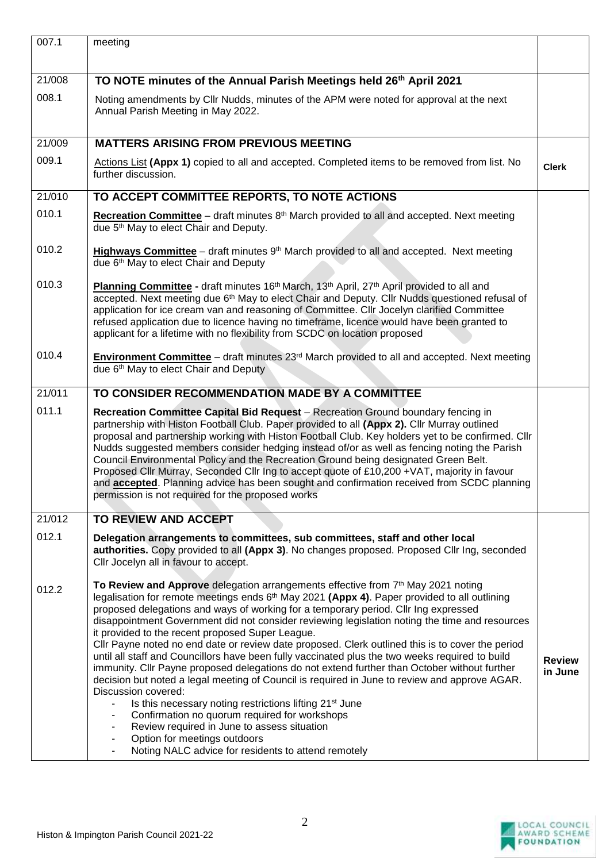| 007.1  | meeting                                                                                                                                                                                                                                                                                                                                                                                                                                                                                                                                                                                                                                                                                                                                                                                                                                                                                                                                                                                                                                                                                                                                     |                          |
|--------|---------------------------------------------------------------------------------------------------------------------------------------------------------------------------------------------------------------------------------------------------------------------------------------------------------------------------------------------------------------------------------------------------------------------------------------------------------------------------------------------------------------------------------------------------------------------------------------------------------------------------------------------------------------------------------------------------------------------------------------------------------------------------------------------------------------------------------------------------------------------------------------------------------------------------------------------------------------------------------------------------------------------------------------------------------------------------------------------------------------------------------------------|--------------------------|
| 21/008 | TO NOTE minutes of the Annual Parish Meetings held 26th April 2021                                                                                                                                                                                                                                                                                                                                                                                                                                                                                                                                                                                                                                                                                                                                                                                                                                                                                                                                                                                                                                                                          |                          |
| 008.1  | Noting amendments by Cllr Nudds, minutes of the APM were noted for approval at the next<br>Annual Parish Meeting in May 2022.                                                                                                                                                                                                                                                                                                                                                                                                                                                                                                                                                                                                                                                                                                                                                                                                                                                                                                                                                                                                               |                          |
| 21/009 | <b>MATTERS ARISING FROM PREVIOUS MEETING</b>                                                                                                                                                                                                                                                                                                                                                                                                                                                                                                                                                                                                                                                                                                                                                                                                                                                                                                                                                                                                                                                                                                |                          |
| 009.1  | Actions List (Appx 1) copied to all and accepted. Completed items to be removed from list. No<br>further discussion.                                                                                                                                                                                                                                                                                                                                                                                                                                                                                                                                                                                                                                                                                                                                                                                                                                                                                                                                                                                                                        | <b>Clerk</b>             |
| 21/010 | TO ACCEPT COMMITTEE REPORTS, TO NOTE ACTIONS                                                                                                                                                                                                                                                                                                                                                                                                                                                                                                                                                                                                                                                                                                                                                                                                                                                                                                                                                                                                                                                                                                |                          |
| 010.1  | <b>Recreation Committee</b> – draft minutes $8th$ March provided to all and accepted. Next meeting<br>due 5 <sup>th</sup> May to elect Chair and Deputy.                                                                                                                                                                                                                                                                                                                                                                                                                                                                                                                                                                                                                                                                                                                                                                                                                                                                                                                                                                                    |                          |
| 010.2  | Highways Committee - draft minutes 9 <sup>th</sup> March provided to all and accepted. Next meeting<br>due 6 <sup>th</sup> May to elect Chair and Deputy                                                                                                                                                                                                                                                                                                                                                                                                                                                                                                                                                                                                                                                                                                                                                                                                                                                                                                                                                                                    |                          |
| 010.3  | Planning Committee - draft minutes 16 <sup>th</sup> March, 13 <sup>th</sup> April, 27 <sup>th</sup> April provided to all and<br>accepted. Next meeting due 6 <sup>th</sup> May to elect Chair and Deputy. Cllr Nudds questioned refusal of<br>application for ice cream van and reasoning of Committee. Cllr Jocelyn clarified Committee<br>refused application due to licence having no timeframe, licence would have been granted to<br>applicant for a lifetime with no flexibility from SCDC on location proposed                                                                                                                                                                                                                                                                                                                                                                                                                                                                                                                                                                                                                      |                          |
| 010.4  | Environment Committee - draft minutes 23 <sup>rd</sup> March provided to all and accepted. Next meeting<br>due 6th May to elect Chair and Deputy                                                                                                                                                                                                                                                                                                                                                                                                                                                                                                                                                                                                                                                                                                                                                                                                                                                                                                                                                                                            |                          |
| 21/011 | TO CONSIDER RECOMMENDATION MADE BY A COMMITTEE                                                                                                                                                                                                                                                                                                                                                                                                                                                                                                                                                                                                                                                                                                                                                                                                                                                                                                                                                                                                                                                                                              |                          |
| 011.1  | Recreation Committee Capital Bid Request - Recreation Ground boundary fencing in<br>partnership with Histon Football Club. Paper provided to all (Appx 2). Cllr Murray outlined<br>proposal and partnership working with Histon Football Club. Key holders yet to be confirmed. Cllr<br>Nudds suggested members consider hedging instead of/or as well as fencing noting the Parish<br>Council Environmental Policy and the Recreation Ground being designated Green Belt.<br>Proposed Cllr Murray, Seconded Cllr Ing to accept quote of £10,200 +VAT, majority in favour<br>and <b>accepted</b> . Planning advice has been sought and confirmation received from SCDC planning<br>permission is not required for the proposed works                                                                                                                                                                                                                                                                                                                                                                                                        |                          |
| 21/012 | TO REVIEW AND ACCEPT                                                                                                                                                                                                                                                                                                                                                                                                                                                                                                                                                                                                                                                                                                                                                                                                                                                                                                                                                                                                                                                                                                                        |                          |
| 012.1  | Delegation arrangements to committees, sub committees, staff and other local<br>authorities. Copy provided to all (Appx 3). No changes proposed. Proposed Cllr Ing, seconded<br>Cllr Jocelyn all in favour to accept.                                                                                                                                                                                                                                                                                                                                                                                                                                                                                                                                                                                                                                                                                                                                                                                                                                                                                                                       |                          |
| 012.2  | To Review and Approve delegation arrangements effective from 7th May 2021 noting<br>legalisation for remote meetings ends 6 <sup>th</sup> May 2021 (Appx 4). Paper provided to all outlining<br>proposed delegations and ways of working for a temporary period. Cllr Ing expressed<br>disappointment Government did not consider reviewing legislation noting the time and resources<br>it provided to the recent proposed Super League.<br>Cllr Payne noted no end date or review date proposed. Clerk outlined this is to cover the period<br>until all staff and Councillors have been fully vaccinated plus the two weeks required to build<br>immunity. Cllr Payne proposed delegations do not extend further than October without further<br>decision but noted a legal meeting of Council is required in June to review and approve AGAR.<br>Discussion covered:<br>Is this necessary noting restrictions lifting 21 <sup>st</sup> June<br>Confirmation no quorum required for workshops<br>٠<br>Review required in June to assess situation<br>Option for meetings outdoors<br>Noting NALC advice for residents to attend remotely | <b>Review</b><br>in June |

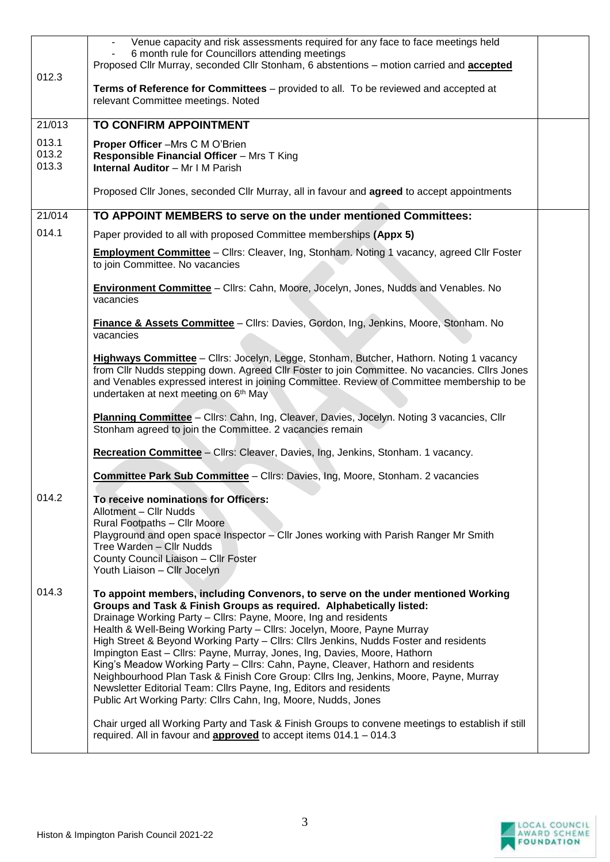|                         | Venue capacity and risk assessments required for any face to face meetings held<br>6 month rule for Councillors attending meetings<br>Proposed Cllr Murray, seconded Cllr Stonham, 6 abstentions - motion carried and <b>accepted</b>                                                                                                                                                                                                                                                                                                                                                                                                                                                                                                                                                            |  |
|-------------------------|--------------------------------------------------------------------------------------------------------------------------------------------------------------------------------------------------------------------------------------------------------------------------------------------------------------------------------------------------------------------------------------------------------------------------------------------------------------------------------------------------------------------------------------------------------------------------------------------------------------------------------------------------------------------------------------------------------------------------------------------------------------------------------------------------|--|
| 012.3                   | Terms of Reference for Committees - provided to all. To be reviewed and accepted at<br>relevant Committee meetings. Noted                                                                                                                                                                                                                                                                                                                                                                                                                                                                                                                                                                                                                                                                        |  |
| 21/013                  | TO CONFIRM APPOINTMENT                                                                                                                                                                                                                                                                                                                                                                                                                                                                                                                                                                                                                                                                                                                                                                           |  |
| 013.1<br>013.2<br>013.3 | Proper Officer -Mrs C M O'Brien<br>Responsible Financial Officer - Mrs T King<br><b>Internal Auditor</b> - Mr I M Parish                                                                                                                                                                                                                                                                                                                                                                                                                                                                                                                                                                                                                                                                         |  |
|                         | Proposed Cllr Jones, seconded Cllr Murray, all in favour and <b>agreed</b> to accept appointments                                                                                                                                                                                                                                                                                                                                                                                                                                                                                                                                                                                                                                                                                                |  |
| 21/014                  | TO APPOINT MEMBERS to serve on the under mentioned Committees:                                                                                                                                                                                                                                                                                                                                                                                                                                                                                                                                                                                                                                                                                                                                   |  |
| 014.1                   | Paper provided to all with proposed Committee memberships (Appx 5)                                                                                                                                                                                                                                                                                                                                                                                                                                                                                                                                                                                                                                                                                                                               |  |
|                         | <b>Employment Committee</b> - Cllrs: Cleaver, Ing, Stonham. Noting 1 vacancy, agreed Cllr Foster<br>to join Committee. No vacancies                                                                                                                                                                                                                                                                                                                                                                                                                                                                                                                                                                                                                                                              |  |
|                         | <b>Environment Committee</b> - Cllrs: Cahn, Moore, Jocelyn, Jones, Nudds and Venables. No<br>vacancies                                                                                                                                                                                                                                                                                                                                                                                                                                                                                                                                                                                                                                                                                           |  |
|                         | Finance & Assets Committee - Cllrs: Davies, Gordon, Ing, Jenkins, Moore, Stonham. No<br>vacancies                                                                                                                                                                                                                                                                                                                                                                                                                                                                                                                                                                                                                                                                                                |  |
|                         | Highways Committee - Cllrs: Jocelyn, Legge, Stonham, Butcher, Hathorn. Noting 1 vacancy<br>from Cllr Nudds stepping down. Agreed Cllr Foster to join Committee. No vacancies. Cllrs Jones<br>and Venables expressed interest in joining Committee. Review of Committee membership to be<br>undertaken at next meeting on 6 <sup>th</sup> May                                                                                                                                                                                                                                                                                                                                                                                                                                                     |  |
|                         | Planning Committee - Cllrs: Cahn, Ing, Cleaver, Davies, Jocelyn. Noting 3 vacancies, Cllr<br>Stonham agreed to join the Committee. 2 vacancies remain                                                                                                                                                                                                                                                                                                                                                                                                                                                                                                                                                                                                                                            |  |
|                         | Recreation Committee - Cllrs: Cleaver, Davies, Ing, Jenkins, Stonham. 1 vacancy.                                                                                                                                                                                                                                                                                                                                                                                                                                                                                                                                                                                                                                                                                                                 |  |
|                         | <b>Committee Park Sub Committee - Clirs: Davies, Ing, Moore, Stonham. 2 vacancies</b>                                                                                                                                                                                                                                                                                                                                                                                                                                                                                                                                                                                                                                                                                                            |  |
| 014.2                   | To receive nominations for Officers:                                                                                                                                                                                                                                                                                                                                                                                                                                                                                                                                                                                                                                                                                                                                                             |  |
|                         | Allotment - Cllr Nudds<br><b>Rural Footpaths - Cllr Moore</b>                                                                                                                                                                                                                                                                                                                                                                                                                                                                                                                                                                                                                                                                                                                                    |  |
|                         | Playground and open space Inspector - Cllr Jones working with Parish Ranger Mr Smith                                                                                                                                                                                                                                                                                                                                                                                                                                                                                                                                                                                                                                                                                                             |  |
|                         | Tree Warden - Cllr Nudds<br>County Council Liaison - Cllr Foster                                                                                                                                                                                                                                                                                                                                                                                                                                                                                                                                                                                                                                                                                                                                 |  |
|                         | Youth Liaison - Cllr Jocelyn                                                                                                                                                                                                                                                                                                                                                                                                                                                                                                                                                                                                                                                                                                                                                                     |  |
| 014.3                   | To appoint members, including Convenors, to serve on the under mentioned Working<br>Groups and Task & Finish Groups as required. Alphabetically listed:<br>Drainage Working Party - Cllrs: Payne, Moore, Ing and residents<br>Health & Well-Being Working Party - Cllrs: Jocelyn, Moore, Payne Murray<br>High Street & Beyond Working Party - Cllrs: Cllrs Jenkins, Nudds Foster and residents<br>Impington East - Cllrs: Payne, Murray, Jones, Ing, Davies, Moore, Hathorn<br>King's Meadow Working Party - Cllrs: Cahn, Payne, Cleaver, Hathorn and residents<br>Neighbourhood Plan Task & Finish Core Group: Cllrs Ing, Jenkins, Moore, Payne, Murray<br>Newsletter Editorial Team: Cllrs Payne, Ing, Editors and residents<br>Public Art Working Party: Cllrs Cahn, Ing, Moore, Nudds, Jones |  |
|                         | Chair urged all Working Party and Task & Finish Groups to convene meetings to establish if still<br>required. All in favour and <b>approved</b> to accept items $014.1 - 014.3$                                                                                                                                                                                                                                                                                                                                                                                                                                                                                                                                                                                                                  |  |

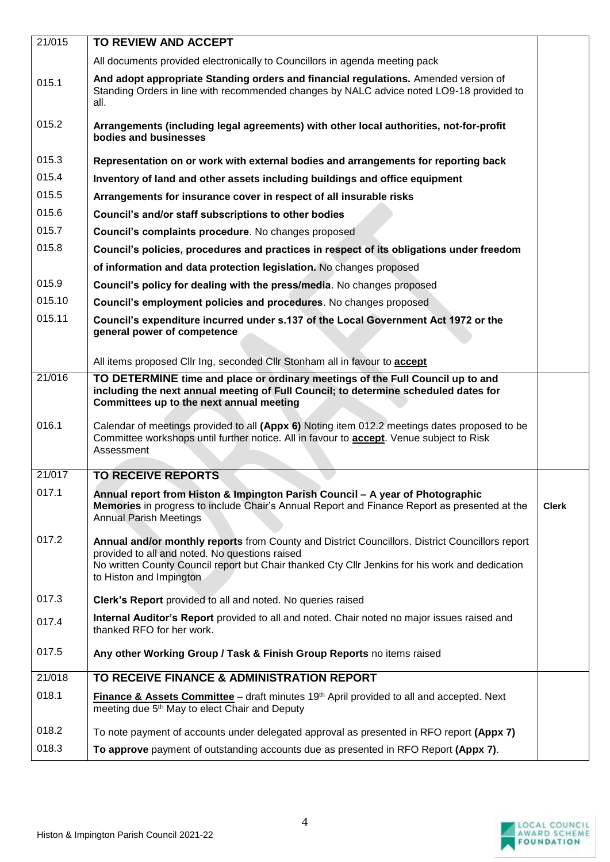| 21/015           | TO REVIEW AND ACCEPT                                                                                                                                                                                                                                                            |              |
|------------------|---------------------------------------------------------------------------------------------------------------------------------------------------------------------------------------------------------------------------------------------------------------------------------|--------------|
|                  | All documents provided electronically to Councillors in agenda meeting pack                                                                                                                                                                                                     |              |
| 015.1            | And adopt appropriate Standing orders and financial regulations. Amended version of<br>Standing Orders in line with recommended changes by NALC advice noted LO9-18 provided to<br>all.                                                                                         |              |
| 015.2            | Arrangements (including legal agreements) with other local authorities, not-for-profit<br>bodies and businesses                                                                                                                                                                 |              |
| 015.3            | Representation on or work with external bodies and arrangements for reporting back                                                                                                                                                                                              |              |
| 015.4            | Inventory of land and other assets including buildings and office equipment                                                                                                                                                                                                     |              |
| 015.5            | Arrangements for insurance cover in respect of all insurable risks                                                                                                                                                                                                              |              |
| 015.6            | Council's and/or staff subscriptions to other bodies                                                                                                                                                                                                                            |              |
| 015.7            | Council's complaints procedure. No changes proposed                                                                                                                                                                                                                             |              |
| 015.8            | Council's policies, procedures and practices in respect of its obligations under freedom                                                                                                                                                                                        |              |
|                  | of information and data protection legislation. No changes proposed                                                                                                                                                                                                             |              |
| 015.9            | Council's policy for dealing with the press/media. No changes proposed                                                                                                                                                                                                          |              |
| 015.10           | Council's employment policies and procedures. No changes proposed                                                                                                                                                                                                               |              |
| 015.11           | Council's expenditure incurred under s.137 of the Local Government Act 1972 or the<br>general power of competence                                                                                                                                                               |              |
|                  | All items proposed Cllr Ing, seconded Cllr Stonham all in favour to accept                                                                                                                                                                                                      |              |
| $\frac{21}{016}$ | TO DETERMINE time and place or ordinary meetings of the Full Council up to and<br>including the next annual meeting of Full Council; to determine scheduled dates for<br>Committees up to the next annual meeting                                                               |              |
| 016.1            | Calendar of meetings provided to all (Appx 6) Noting item 012.2 meetings dates proposed to be<br>Committee workshops until further notice. All in favour to accept. Venue subject to Risk<br>Assessment                                                                         |              |
| 21/017           | <b>TO RECEIVE REPORTS</b>                                                                                                                                                                                                                                                       |              |
| 017.1            | Annual report from Histon & Impington Parish Council - A year of Photographic<br>Memories in progress to include Chair's Annual Report and Finance Report as presented at the<br><b>Annual Parish Meetings</b>                                                                  | <b>Clerk</b> |
| 017.2            | Annual and/or monthly reports from County and District Councillors. District Councillors report<br>provided to all and noted. No questions raised<br>No written County Council report but Chair thanked Cty Cllr Jenkins for his work and dedication<br>to Histon and Impington |              |
| 017.3            | Clerk's Report provided to all and noted. No queries raised                                                                                                                                                                                                                     |              |
| 017.4            | Internal Auditor's Report provided to all and noted. Chair noted no major issues raised and<br>thanked RFO for her work.                                                                                                                                                        |              |
| 017.5            | Any other Working Group / Task & Finish Group Reports no items raised                                                                                                                                                                                                           |              |
| 21/018           | TO RECEIVE FINANCE & ADMINISTRATION REPORT                                                                                                                                                                                                                                      |              |
| 018.1            | <b>Finance &amp; Assets Committee</b> – draft minutes $19th$ April provided to all and accepted. Next<br>meeting due 5 <sup>th</sup> May to elect Chair and Deputy                                                                                                              |              |
| 018.2            | To note payment of accounts under delegated approval as presented in RFO report (Appx 7)                                                                                                                                                                                        |              |
| 018.3            | To approve payment of outstanding accounts due as presented in RFO Report (Appx 7).                                                                                                                                                                                             |              |